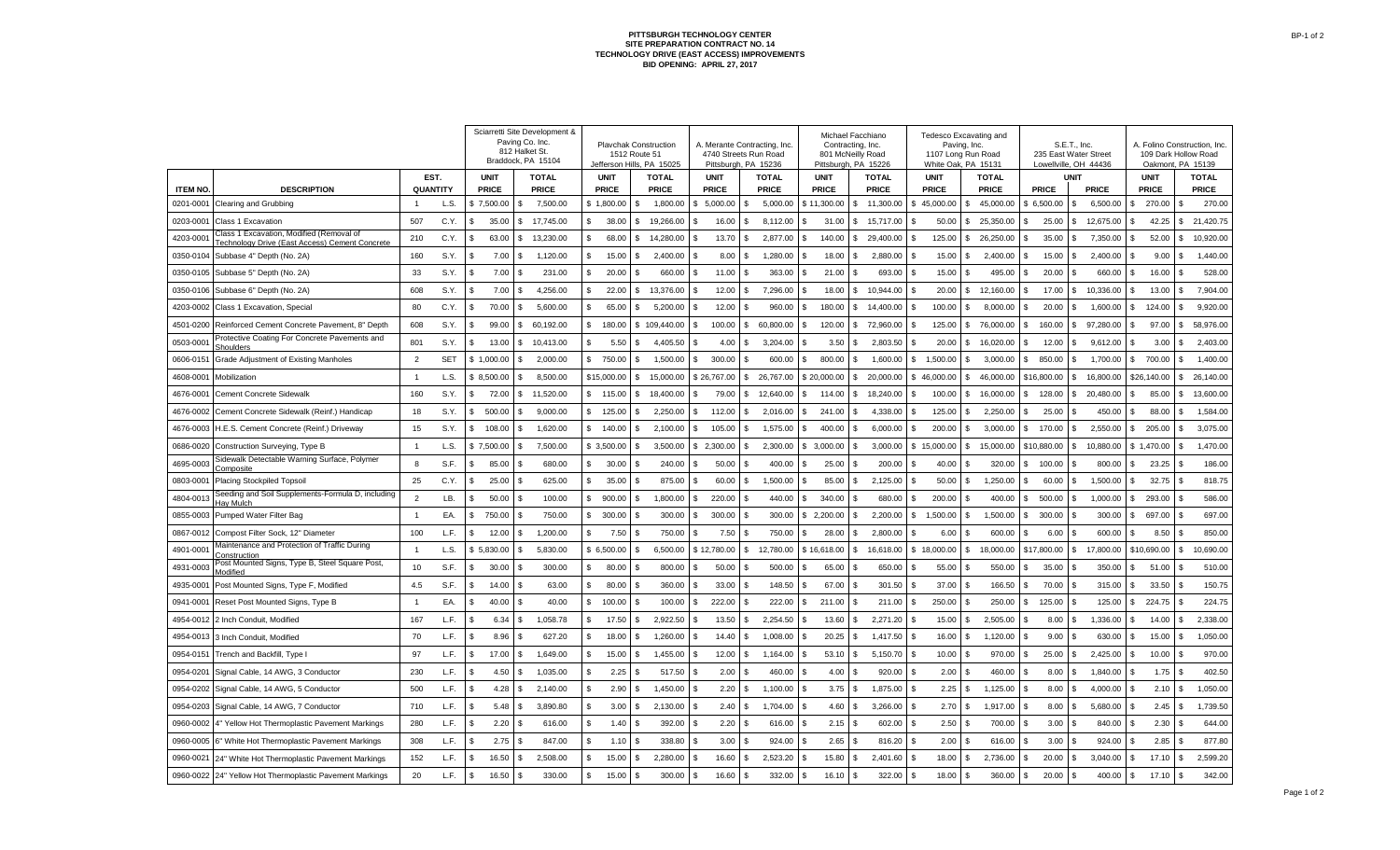## **PITTSBURGH TECHNOLOGY CENTER SITE PREPARATION CONTRACT NO. 14 TECHNOLOGY DRIVE (EAST ACCESS) IMPROVEMENTS BID OPENING: APRIL 27, 2017**

|                             |                                                                             |                                   |            | Sciarretti Site Development &<br>Paving Co. Inc.<br>812 Halket St.<br>Braddock, PA 15104 |                                | <b>Playchak Construction</b><br>1512 Route 51<br>Jefferson Hills, PA 15025 |                          | A. Merante Contracting, Inc.<br>4740 Streets Run Road<br>Pittsburgh, PA 15236 |                                 | Michael Facchiano<br>Contracting, Inc.<br>801 McNeilly Road<br>Pittsburgh, PA 15226 |                                  | Tedesco Excavating and<br>Paving, Inc.<br>1107 Long Run Road<br>White Oak, PA 15131 |                                  | S.E.T., Inc.<br>235 East Water Street<br>Lowellville, OH 44436 | A. Folino Construction, Inc.<br>109 Dark Hollow Road<br>Oakmont, PA 15139 |                        |
|-----------------------------|-----------------------------------------------------------------------------|-----------------------------------|------------|------------------------------------------------------------------------------------------|--------------------------------|----------------------------------------------------------------------------|--------------------------|-------------------------------------------------------------------------------|---------------------------------|-------------------------------------------------------------------------------------|----------------------------------|-------------------------------------------------------------------------------------|----------------------------------|----------------------------------------------------------------|---------------------------------------------------------------------------|------------------------|
|                             |                                                                             | EST.                              |            | <b>UNIT</b>                                                                              | <b>TOTAL</b>                   | <b>UNIT</b>                                                                | <b>TOTAL</b>             | <b>UNIT</b>                                                                   | <b>TOTAL</b>                    | <b>UNIT</b>                                                                         | <b>TOTAL</b>                     | <b>UNIT</b>                                                                         | <b>TOTAL</b>                     | <b>UNIT</b>                                                    | <b>UNIT</b>                                                               | <b>TOTAL</b>           |
| <b>ITEM NO</b><br>0201-0001 | <b>DESCRIPTION</b><br>Clearing and Grubbing                                 | <b>QUANTITY</b><br>$\overline{1}$ | L.S.       | <b>PRICE</b><br>7,500.00                                                                 | <b>PRICE</b><br>7,500.00<br>\$ | <b>PRICE</b><br>\$1,800.00                                                 | <b>PRICE</b><br>1,800.00 | <b>PRICE</b><br>\$5,000.00                                                    | <b>PRICE</b><br>5,000.00<br>\$. | <b>PRICE</b><br>\$11,300.00                                                         | <b>PRICE</b><br>11,300.00<br>\$. | <b>PRICE</b><br>45,000.00<br>-S                                                     | <b>PRICE</b><br>45,000.00<br>\$. | <b>PRICE</b><br><b>PRICE</b><br>\$6,500.00<br>6,500.00<br>\$.  | <b>PRICE</b><br>270.00<br>\$.                                             | <b>PRICE</b><br>270.00 |
| 0203-0001                   | Class 1 Excavation                                                          | 507                               | C.Y.       | 35.00                                                                                    | 17,745.00<br>\$                | \$<br>38.00                                                                | 19,266.00<br>-S          | 16.00<br>\$                                                                   | 8,112.00<br>S                   | \$<br>31.00                                                                         | 15,717.00<br>\$.                 | 50.00<br>-S                                                                         | 25,350.00<br>\$.                 | 25.00<br>\$<br>12,675.00<br>\$                                 | 42.25<br>S                                                                | 21,420.75<br>\$        |
| 4203-0001                   | Class 1 Excavation, Modified (Removal of                                    | 210                               | C.Y.       | 63.00<br>-\$                                                                             | 13,230.00<br>\$                | \$<br>68.00                                                                | 14,280.00<br>-S          | 13.70<br>\$                                                                   | 2,877.00<br>S                   | \$<br>140.00                                                                        | 29,400.00<br>\$.                 | 125.00<br>-S                                                                        | 26,250.00<br>\$                  | \$<br>35.00<br>7,350.00<br>\$.                                 | 52.00<br>S                                                                | 10,920.00<br>S         |
| 0350-0104                   | Technology Drive (East Access) Cement Concrete<br>Subbase 4" Depth (No. 2A) | 160                               | S.Y.       | 7.00<br>- \$                                                                             | 1,120.00<br>-S                 | \$<br>15.00                                                                | 2,400.00                 | 8.00<br>\$.                                                                   | 1,280.00<br>S                   | 18.00<br>\$.                                                                        | 2,880.00<br>\$.                  | 15.00<br>-S                                                                         | 2,400.00<br>\$                   | 15.00<br>2,400.00<br>\$.<br>\$                                 | 9.00<br>S                                                                 | 1,440.00<br>\$.        |
| 0350-0105                   | Subbase 5" Depth (No. 2A)                                                   | 33                                | S.Y.       | 7.00<br>-9                                                                               | 231.00<br>\$.                  | \$<br>20.00                                                                | 660.00                   | \$<br>11.00                                                                   | 363.00                          | 21.00<br>\$.                                                                        | 693.00<br>\$.                    | 15.00<br>-S                                                                         | 495.00                           | 20.00<br>\$<br>660.00                                          | 16.00<br>\$.                                                              | 528.00                 |
| 0350-0106                   | Subbase 6" Depth (No. 2A)                                                   | 608                               | S.Y.       | 7.00<br>£.                                                                               | 4,256.00<br>S                  | \$<br>22.00                                                                | 13,376.00                | 12.00<br>\$                                                                   | 7,296.00<br>\$                  | 18.00<br>S                                                                          | 10,944.00                        | 20.00<br>-S                                                                         | \$<br>12,160.00                  | \$<br>17.00<br>10,336.00<br>\$.                                | 13.00                                                                     | 7,904.00               |
| 4203-0002                   | Class 1 Excavation, Special                                                 | 80                                | C.Y.       | 70.00<br>£.                                                                              | 5,600.00<br>-S                 | \$<br>65.00                                                                | 5,200.00                 | 12.00                                                                         | 960.00                          | S<br>180.00                                                                         | 14,400.00                        | 100.00<br>-S                                                                        | 8,000.00<br>\$.                  | \$<br>20.00<br>1,600.00                                        | 124.00<br>£.                                                              | 9,920.00               |
| 4501-0200                   | Reinforced Cement Concrete Pavement, 8" Depth                               | 608                               | S.Y.       | 99.00<br>- \$                                                                            | 60,192.00<br>\$                | \$.<br>180.00                                                              | \$109,440.00             | \$.<br>100.00                                                                 | 60,800.00<br>S.                 | \$.<br>120.00                                                                       | 72,960.00<br>£.                  | 125.00<br>-S                                                                        | 76,000.00<br>\$.                 | \$<br>160.00<br>97,280.00<br>\$.                               | 97.00<br>\$.                                                              | 58,976.00<br>\$        |
| 0503-0001                   | Protective Coating For Concrete Pavements and                               | 801                               | S.Y.       | 13.00<br>-96                                                                             | 10,413.00<br>S.                | \$.<br>5.50                                                                | 4,405.50                 | 4.00<br>\$.                                                                   | 3,204.00<br>\$.                 | \$<br>3.50                                                                          | 2,803.50<br>£.                   | 20.00<br>- \$                                                                       | 16,020.00<br>\$                  | 9,612.00<br>\$<br>12.00<br>\$.                                 | 3.00<br>£.                                                                | 2,403.00<br>S.         |
| 0606-0151                   | shoulders<br><b>Grade Adjustment of Existing Manholes</b>                   | $\overline{2}$                    | <b>SET</b> | \$1,000.00                                                                               | 2,000.00<br>- \$               | \$<br>750.00                                                               | 1,500.00                 | \$.<br>300.00                                                                 | 600.00                          | \$.<br>800.00                                                                       | 1,600.00<br>£.                   | S.<br>1.500.00                                                                      | 3.000.00<br>£.                   | \$<br>850.00<br>1,700.00<br>\$.                                | 700.00<br>£.                                                              | 1,400.00<br>£.         |
| 4608-0001                   | Mobilization                                                                | $\overline{1}$                    | L.S.       | \$8,500.00                                                                               | 8,500.00<br>- \$               | \$15,000.00                                                                | 15,000.00<br>-S          | \$26,767.00                                                                   | 26.767.00<br>s.                 | \$20,000.00                                                                         | 20.000.00<br>£.                  | S.<br>46.000.00                                                                     | \$<br>46.000.00                  | \$16,800.00<br>16,800.00<br>\$.                                | \$26,140.00                                                               | \$26,140.00            |
| 4676-0001                   | Cement Concrete Sidewalk                                                    | 160                               | S.Y.       | 72.00                                                                                    | 11.520.00<br>S.                | \$<br>115.00                                                               | 18,400.00                | 79.00<br>\$.                                                                  | 12.640.00<br>\$.                | \$.<br>114.00                                                                       | 18,240.00<br>\$                  | 100.00<br>- \$                                                                      | 16.000.00<br>\$                  | 128.00<br>20.480.00<br>s.<br>\$.                               | 85.00<br>\$.                                                              | 13,600.00<br>s.        |
| 4676-0002                   | Cement Concrete Sidewalk (Reinf.) Handicap                                  | 18                                | S.Y.       | 500.00                                                                                   | 9,000.00<br>- \$               | \$<br>125.00                                                               | 2,250.00                 | \$.<br>112.00                                                                 | 2,016.00                        | \$.<br>241.00                                                                       | 4,338.00                         | 125.00<br>-S                                                                        | 2,250.00<br>S.                   | \$<br>25.00<br>450.00                                          | 88.00<br>£.                                                               | 1,584.00               |
| 4676-0003                   | H.E.S. Cement Concrete (Reinf.) Driveway                                    | 15                                | S.Y.       | 108.00                                                                                   | -S<br>1,620.00                 | \$.<br>140.00                                                              | 2,100.00                 | \$.<br>105.00                                                                 | 1,575.00                        | 400.00<br>\$.                                                                       | 6,000.00                         | \$.<br>200.00                                                                       | \$.<br>3,000.00                  | 2,550.00<br>\$<br>170.00<br>\$                                 | \$.<br>205.00                                                             | 3,075.00               |
| 0686-0020                   | Construction Surveying, Type B                                              | $\overline{1}$                    | L.S.       | 7,500.00                                                                                 | 7,500.00<br>\$.                | \$3,500.00                                                                 | 3,500.00                 | \$2,300.00                                                                    | 2,300.00                        | 3,000.00<br>\$.                                                                     | 3,000.00<br>\$.                  | \$15,000.00                                                                         | \$<br>15,000.00                  | \$10,880.00<br>\$.<br>10,880.00                                | \$1,470.00                                                                | 1,470.00               |
| 4695-0003                   | Sidewalk Detectable Warning Surface, Polymer                                | 8                                 | S.F.       | 85.00<br>£.                                                                              | 680.00<br>\$.                  | \$<br>30.00                                                                | 240.00                   | 50.00<br>\$                                                                   | 400.00                          | 25.00<br>\$                                                                         | 200.00                           | 40.00<br>-S                                                                         | 320.00                           | \$<br>100.00<br>800.00                                         | 23.25                                                                     | 186.00                 |
| 0803-0001                   | :omposite<br><b>Placing Stockpiled Topsoil</b>                              | 25                                | C.Y.       | 25.00                                                                                    | 625.00<br>\$.                  | \$<br>35.00                                                                | 875.00                   | 60.00<br>\$                                                                   | 1,500.00                        | 85.00<br>\$                                                                         | 2,125.00                         | 50.00<br>\$.                                                                        | 1,250.00<br>\$.                  | \$<br>60.00<br>1,500.00                                        | 32.75                                                                     | 818.75                 |
| 4804-0013                   | Seeding and Soil Supplements-Formula D, including<br>lav Mulch              | $\overline{2}$                    | LB.        | 50.00                                                                                    | 100.00<br>\$.                  | \$<br>900.00                                                               | 1,800.00                 | 220.00<br>\$.                                                                 | 440.00                          | \$.<br>340.00                                                                       | 680.00                           | 200.00<br>\$.                                                                       | 400.00                           | \$<br>500.00<br>1,000.00                                       | 293.00                                                                    | 586.00                 |
| 0855-0003                   | Pumped Water Filter Bag                                                     | $\overline{1}$                    | EA.        | 750.00                                                                                   | 750.00                         | \$<br>300.00                                                               | 300.00                   | 300.00                                                                        | 300.00                          | \$.<br>2,200.00                                                                     | 2,200.00                         | 1,500.00<br>S.                                                                      | 1,500.00<br>\$.                  | 300.00<br>\$<br>300.00                                         | 697.00                                                                    | 697.00                 |
| 0867-0012                   | Compost Filter Sock, 12" Diameter                                           | 100                               | L.F.       | 12.00                                                                                    | 1,200.00<br>S                  | 7.50<br>\$                                                                 | 750.00                   | 7.50                                                                          | 750.00                          | 28.00<br>\$.                                                                        | 2,800.00                         | 6.00                                                                                | 600.00                           | \$<br>6.00<br>600.00                                           | 8.50                                                                      | 850.00                 |
| 4901-0001                   | Maintenance and Protection of Traffic During<br>onstruction                 | $\overline{1}$                    | L.S.       | 5,830.00                                                                                 | 5,830.00<br>\$.                | \$6,500.00                                                                 | 6,500.00                 | \$12,780.00                                                                   | 12,780.00<br>S                  | \$16,618.00                                                                         | 16,618.00<br>¢.                  | \$18,000.00                                                                         | 18,000.00<br>\$.                 | \$17,800.00<br>17,800.00<br>\$                                 | \$10,690.00                                                               | 10,690.00<br>\$.       |
| 4931-0003                   | ost Mounted Signs, Type B, Steel Square Post,<br>lodified                   | 10                                | S.F.       | 30.00                                                                                    | 300.00<br>S                    | \$<br>80.00                                                                | 800.00                   | 50.00<br>\$.                                                                  | 500.00                          | \$<br>65.00                                                                         | 650.00                           | £.<br>55.00                                                                         | 550.00<br>\$                     | 35.00<br>\$<br>350.00                                          | 51.00<br>£.                                                               | 510.00                 |
| 4935-0001                   | Post Mounted Signs, Type F, Modified                                        | 4.5                               | S.F.       | 14.00<br>ፍ                                                                               | -S<br>63.00                    | \$.<br>80.00                                                               | 360.00                   | \$.<br>33.00                                                                  | 148.50<br>£.                    | \$<br>67.00                                                                         | 301.50<br>\$                     | - 96<br>37.00                                                                       | 166.50<br>£.                     | 70.00<br>$\mathcal{L}$<br>315.00<br>ፍ                          | 33.50<br>£.                                                               | 150.75                 |
| 0941-0001                   | Reset Post Mounted Signs, Type B                                            | $\overline{1}$                    | EA.        | 40.00<br>ፍ                                                                               | -S<br>40.00                    | \$<br>100.00                                                               | 100.00                   | \$.<br>222.00                                                                 | 222.00<br>£.                    | \$.<br>211.00                                                                       | 211.00<br>\$                     | - 96<br>250.00                                                                      | 250.00<br>£.                     | \$<br>125.00<br>125.00                                         | 224.75<br>\$.                                                             | 224.75                 |
| 4954-0012                   | 2 Inch Conduit, Modified                                                    | 167                               | L.F.       | 6.34<br>£.                                                                               | 1.058.78<br>- \$               | \$.<br>17.50                                                               | 2.922.50                 | 13.50<br>\$.                                                                  | 2.254.50<br>\$                  | 13.60<br>\$.                                                                        | 2,271.20                         | 15.00<br>- \$                                                                       | 2.505.00<br>\$.                  | 8.00<br>1.336.00<br>\$.<br>\$.                                 | 14.00<br>£.                                                               | 2.338.00<br>-8         |
| 4954-0013                   | 3 Inch Conduit, Modified                                                    | 70                                | L.F.       | 8.96<br>- \$                                                                             | 627.20<br>- \$                 | \$.<br>18.00                                                               | 1.260.00                 | \$.<br>14.40                                                                  | \$.<br>1.008.00                 | 20.25<br>-S                                                                         | 1,417.50<br>\$.                  | 16.00<br>- \$                                                                       | \$.<br>1,120.00                  | 9.00<br>\$.<br>630.00                                          | 15.00<br>£.                                                               | 1,050.00               |
| 0954-0151                   | Trench and Backfill, Type I                                                 | 97                                | L.F.       | 17.00<br>- \$                                                                            | 1,649.00<br>- \$               | \$<br>15.00                                                                | 1,455.00                 | 12.00<br>\$.                                                                  | 1,164.00<br>\$.                 | \$.<br>53.10                                                                        | 5,150.70<br>\$.                  | 10.00<br>-S                                                                         | 970.00<br>S.                     | \$<br>25.00<br>2,425.00<br>\$                                  | 10.00<br>£.                                                               | 970.00                 |
| 0954-0201                   | Signal Cable, 14 AWG, 3 Conductor                                           | 230                               | L.F.       | 4.50<br>- \$                                                                             | 1,035.00<br>-S                 | \$<br>2.25                                                                 | 517.50                   | 2.00<br>\$.                                                                   | 460.00<br>£.                    | \$.<br>4.00                                                                         | 920.00<br>£.                     | 2.00<br>-S                                                                          | 460.00<br>S.                     | \$<br>8.00<br>1,840.00<br>\$.                                  | 1.75<br>\$.                                                               | 402.50                 |
| 0954-0202                   | Signal Cable, 14 AWG, 5 Conductor                                           | 500                               | L.F.       | 4.28<br>- \$                                                                             | 2,140.00<br>Ŝ.                 | \$<br>2.90                                                                 | 1,450.00                 | \$<br>2.20                                                                    | \$<br>1,100.00                  | \$.<br>3.75                                                                         | 1,875.00<br>\$.                  | 2.25<br>-S                                                                          | \$<br>1,125.00                   | $\mathbf{s}$<br>8.00<br>4,000.00<br>\$                         | 2.10<br>\$                                                                | 1,050.00<br>\$.        |
| 0954-0203                   | Signal Cable, 14 AWG, 7 Conductor                                           | 710                               | L.F.       | 5.48<br>\$                                                                               | 3,890.80<br>-S                 | \$<br>3.00                                                                 | 2,130.00                 | \$<br>2.40                                                                    | 1,704.00<br>\$                  | 4.60<br>\$                                                                          | 3,266.00<br>\$.                  | 2.70<br>-S                                                                          | \$.<br>1,917.00                  | \$<br>8.00<br>\$<br>5,680.00                                   | 2.45                                                                      | 1,739.50               |
| 0960-0002                   | 4" Yellow Hot Thermoplastic Pavement Markings                               | 280                               | L.F.       | 2.20<br>-\$                                                                              | 616.00<br>-S                   | \$.<br>1.40                                                                | 392.00                   | 2.20<br>\$                                                                    | 616.00<br>\$.                   | \$<br>2.15                                                                          | 602.00                           | 2.50<br>-S                                                                          | 700.00<br>\$.                    | \$<br>3.00<br>840.00                                           | 2.30                                                                      | 644.00                 |
| 0960-0005                   | 6" White Hot Thermoplastic Pavement Markings                                | 308                               | L.F.       | 2.75<br>£.                                                                               | 847.00<br>-S                   | 1.10<br>\$                                                                 | 338.80                   | 3.00                                                                          | 924.00                          | 2.65<br>\$                                                                          | 816.20                           | 2.00<br>-S                                                                          | 616.00                           | 3.00<br>924.00<br>\$                                           | 2.85                                                                      | 877.80                 |
| 0960-0021                   | 24" White Hot Thermoplastic Pavement Markings                               | 152                               | L.F.       | 16.50<br>- \$                                                                            | 2,508.00<br>-S                 | \$.<br>15.00                                                               | 2,280.00                 | 16.60<br>\$                                                                   | 2,523.20                        | 15.80<br>\$.                                                                        | 2,401.60<br>\$.                  | 18.00<br>-S                                                                         | 2,736.00<br>\$.                  | 20.00<br>3,040.00<br>\$                                        | 17.10<br>\$.                                                              | 2,599.20               |
| 0960-0022                   | 24" Yellow Hot Thermoplastic Pavement Markings                              | 20                                | L.F.       | 16.50<br>-9                                                                              | 330.00<br>-S                   | \$<br>15.00                                                                | 300.00                   | 16.60<br>\$                                                                   | 332.00                          | 16.10<br>\$                                                                         | 322.00                           | 18.00<br>£.                                                                         | 360.00                           | 20.00<br>400.00<br>\$                                          | 17.10<br>\$.                                                              | 342.00                 |